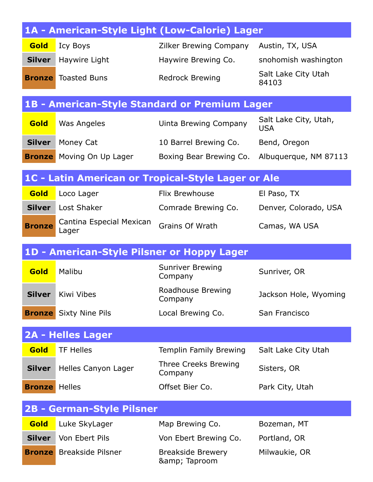|                      |                                            | 1A - American-Style Light (Low-Calorie) Lager        |                                     |
|----------------------|--------------------------------------------|------------------------------------------------------|-------------------------------------|
| Gold                 | Icy Boys                                   | Zilker Brewing Company                               | Austin, TX, USA                     |
| <b>Silver</b>        | Haywire Light                              | Haywire Brewing Co.                                  | snohomish washington                |
|                      | <b>Bronze</b> Toasted Buns                 | <b>Redrock Brewing</b>                               | Salt Lake City Utah<br>84103        |
|                      |                                            | <b>1B - American-Style Standard or Premium Lager</b> |                                     |
| Gold                 | Was Angeles                                | <b>Uinta Brewing Company</b>                         | Salt Lake City, Utah,<br><b>USA</b> |
| <b>Silver</b>        | Money Cat                                  | 10 Barrel Brewing Co.                                | Bend, Oregon                        |
| <b>Bronze</b>        | Moving On Up Lager                         | Boxing Bear Brewing Co.                              | Albuquerque, NM 87113               |
|                      |                                            | 1C - Latin American or Tropical-Style Lager or Ale   |                                     |
| Gold                 | Loco Lager                                 | <b>Flix Brewhouse</b>                                | El Paso, TX                         |
| <b>Silver</b>        | Lost Shaker                                | Comrade Brewing Co.                                  | Denver, Colorado, USA               |
| <b>Bronze</b>        | Cantina Especial Mexican<br>Lager          | Grains Of Wrath                                      | Camas, WA USA                       |
|                      | 1D - American-Style Pilsner or Hoppy Lager |                                                      |                                     |
| Gold                 | Malibu                                     | <b>Sunriver Brewing</b><br>Company                   | Sunriver, OR                        |
| <b>Silver</b>        | Kiwi Vibes                                 | Roadhouse Brewing<br>Company                         | Jackson Hole, Wyoming               |
|                      | <b>Bronze</b> Sixty Nine Pils              | Local Brewing Co.                                    | San Francisco                       |
|                      | <b>2A - Helles Lager</b>                   |                                                      |                                     |
| Gold                 | <b>TF Helles</b>                           | Templin Family Brewing                               | Salt Lake City Utah                 |
| <b>Silver</b>        | Helles Canyon Lager                        | Three Creeks Brewing<br>Company                      | Sisters, OR                         |
| <b>Bronze</b> Helles |                                            | Offset Bier Co.                                      | Park City, Utah                     |
|                      | <b>2B - German-Style Pilsner</b>           |                                                      |                                     |
| Gold                 | Luke SkyLager                              | Map Brewing Co.                                      | Bozeman, MT                         |
| <b>Silver</b>        | Von Ebert Pils                             | Von Ebert Brewing Co.                                | Portland, OR                        |
| <b>Bronze</b>        | <b>Breakside Pilsner</b>                   | <b>Breakside Brewery</b><br>& Taproom                | Milwaukie, OR                       |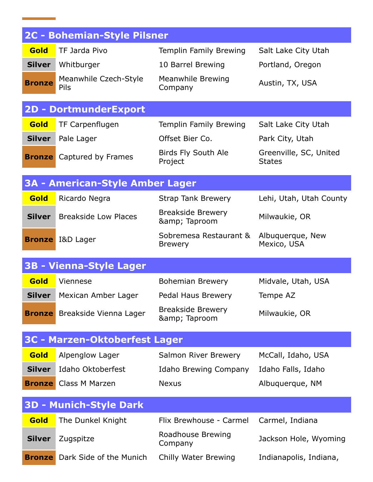|               | <b>2C - Bohemian-Style Pilsner</b>     |                                          |                                         |
|---------------|----------------------------------------|------------------------------------------|-----------------------------------------|
| Gold          | TF Jarda Pivo                          | Templin Family Brewing                   | Salt Lake City Utah                     |
| <b>Silver</b> | Whitburger                             | 10 Barrel Brewing                        | Portland, Oregon                        |
| <b>Bronze</b> | Meanwhile Czech-Style<br>Pils          | <b>Meanwhile Brewing</b><br>Company      | Austin, TX, USA                         |
|               | <b>2D - DortmunderExport</b>           |                                          |                                         |
| Gold          | TF Carpenflugen                        | Templin Family Brewing                   | Salt Lake City Utah                     |
| <b>Silver</b> | Pale Lager                             | Offset Bier Co.                          | Park City, Utah                         |
| <b>Bronze</b> | Captured by Frames                     | Birds Fly South Ale<br>Project           | Greenville, SC, United<br><b>States</b> |
|               | <b>3A - American-Style Amber Lager</b> |                                          |                                         |
| Gold          | Ricardo Negra                          | <b>Strap Tank Brewery</b>                | Lehi, Utah, Utah County                 |
| <b>Silver</b> | <b>Breakside Low Places</b>            | <b>Breakside Brewery</b><br>& Taproom    | Milwaukie, OR                           |
|               | <b>Bronze</b> I&D Lager                | Sobremesa Restaurant &<br><b>Brewery</b> | Albuquerque, New<br>Mexico, USA         |
|               | <b>3B - Vienna-Style Lager</b>         |                                          |                                         |
| Gold          | Viennese                               | <b>Bohemian Brewery</b>                  | Midvale, Utah, USA                      |
| <b>Silver</b> | Mexican Amber Lager                    | Pedal Haus Brewery                       | Tempe AZ                                |
|               | <b>Bronze</b> Breakside Vienna Lager   | <b>Breakside Brewery</b><br>& Taproom    | Milwaukie, OR                           |
|               | <b>3C - Marzen-Oktoberfest Lager</b>   |                                          |                                         |
| Gold          | Alpenglow Lager                        | Salmon River Brewery                     | McCall, Idaho, USA                      |
| <b>Silver</b> | Idaho Oktoberfest                      | Idaho Brewing Company                    | Idaho Falls, Idaho                      |
|               | <b>Bronze</b> Class M Marzen           | <b>Nexus</b>                             | Albuquerque, NM                         |
|               | <b>3D - Munich-Style Dark</b>          |                                          |                                         |
| Gold          | The Dunkel Knight                      | Flix Brewhouse - Carmel                  | Carmel, Indiana                         |
| <b>Silver</b> | Zugspitze                              | Roadhouse Brewing<br>Company             | Jackson Hole, Wyoming                   |
| <b>Bronze</b> | Dark Side of the Munich                | Chilly Water Brewing                     | Indianapolis, Indiana,                  |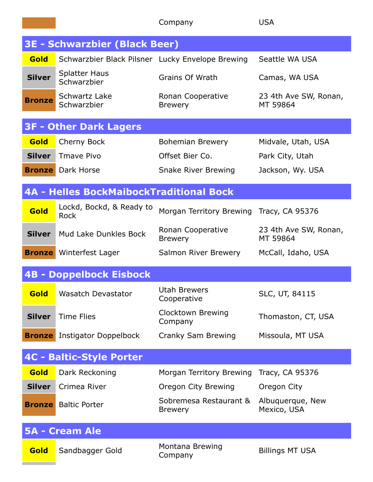|               |                                                  | Company                                  | <b>USA</b>                        |
|---------------|--------------------------------------------------|------------------------------------------|-----------------------------------|
|               | <b>3E - Schwarzbier (Black Beer)</b>             |                                          |                                   |
| Gold          | Schwarzbier Black Pilsner Lucky Envelope Brewing |                                          | Seattle WA USA                    |
| <b>Silver</b> | <b>Splatter Haus</b><br>Schwarzbier              | Grains Of Wrath                          | Camas, WA USA                     |
| <b>Bronze</b> | Schwartz Lake<br>Schwarzbier                     | Ronan Cooperative<br><b>Brewery</b>      | 23 4th Ave SW, Ronan,<br>MT 59864 |
|               | <b>3F - Other Dark Lagers</b>                    |                                          |                                   |
| Gold          | Cherny Bock                                      | <b>Bohemian Brewery</b>                  | Midvale, Utah, USA                |
| <b>Silver</b> | Tmave Pivo                                       | Offset Bier Co.                          | Park City, Utah                   |
|               | <b>Bronze</b> Dark Horse                         | <b>Snake River Brewing</b>               | Jackson, Wy. USA                  |
|               | <b>4A - Helles BockMaibockTraditional Bock</b>   |                                          |                                   |
| Gold          | Lockd, Bockd, & Ready to<br><b>Rock</b>          | Morgan Territory Brewing                 | Tracy, CA 95376                   |
| <b>Silver</b> | Mud Lake Dunkles Bock                            | Ronan Cooperative<br><b>Brewery</b>      | 23 4th Ave SW, Ronan,<br>MT 59864 |
|               | <b>Bronze</b> Winterfest Lager                   | Salmon River Brewery                     | McCall, Idaho, USA                |
|               | <b>4B - Doppelbock Eisbock</b>                   |                                          |                                   |
| Gold          | <b>Wasatch Devastator</b>                        | <b>Utah Brewers</b><br>Cooperative       | SLC, UT, 84115                    |
| <b>Silver</b> | <b>Time Flies</b>                                | Clocktown Brewing<br>Company             | Thomaston, CT, USA                |
| <b>Bronze</b> | Instigator Doppelbock                            | Cranky Sam Brewing                       | Missoula, MT USA                  |
|               | <b>4C - Baltic-Style Porter</b>                  |                                          |                                   |
| Gold          | Dark Reckoning                                   | Morgan Territory Brewing                 | Tracy, CA 95376                   |
| <b>Silver</b> | Crimea River                                     | Oregon City Brewing                      | Oregon City                       |
| <b>Bronze</b> | <b>Baltic Porter</b>                             | Sobremesa Restaurant &<br><b>Brewery</b> | Albuquerque, New<br>Mexico, USA   |
|               | <b>5A - Cream Ale</b>                            |                                          |                                   |
| Gold          | Sandbagger Gold                                  | Montana Brewing<br>Company               | <b>Billings MT USA</b>            |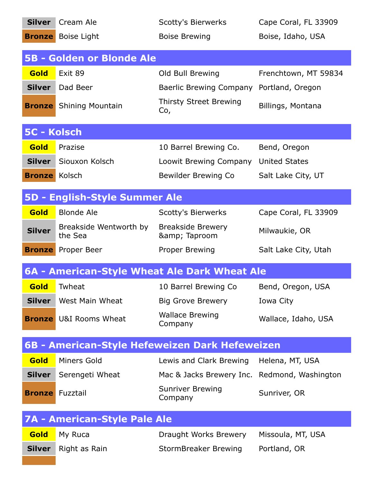| <b>Silver</b>        | Cream Ale                                    | <b>Scotty's Bierwerks</b>                      | Cape Coral, FL 33909 |
|----------------------|----------------------------------------------|------------------------------------------------|----------------------|
|                      | <b>Bronze</b> Boise Light                    | <b>Boise Brewing</b>                           | Boise, Idaho, USA    |
|                      | <b>5B - Golden or Blonde Ale</b>             |                                                |                      |
| Gold                 | Exit 89                                      | Old Bull Brewing                               | Frenchtown, MT 59834 |
| <b>Silver</b>        | Dad Beer                                     | Baerlic Brewing Company                        | Portland, Oregon     |
|                      | <b>Bronze</b> Shining Mountain               | <b>Thirsty Street Brewing</b><br>Co,           | Billings, Montana    |
| 5C - Kolsch          |                                              |                                                |                      |
| Gold                 | Prazise                                      | 10 Barrel Brewing Co.                          | Bend, Oregon         |
| <b>Silver</b>        | Siouxon Kolsch                               | Loowit Brewing Company                         | <b>United States</b> |
| <b>Bronze</b> Kolsch |                                              | Bewilder Brewing Co                            | Salt Lake City, UT   |
|                      | <b>5D - English-Style Summer Ale</b>         |                                                |                      |
| Gold                 | <b>Blonde Ale</b>                            | <b>Scotty's Bierwerks</b>                      | Cape Coral, FL 33909 |
| <b>Silver</b>        | Breakside Wentworth by<br>the Sea            | <b>Breakside Brewery</b><br>& Taproom          | Milwaukie, OR        |
| <b>Bronze</b>        | Proper Beer                                  | Proper Brewing                                 | Salt Lake City, Utah |
|                      |                                              |                                                |                      |
|                      | 6A - American-Style Wheat Ale Dark Wheat Ale |                                                |                      |
| <b>Gold</b>          | Twheat                                       | 10 Barrel Brewing Co                           | Bend, Oregon, USA    |
| <b>Silver</b>        | West Main Wheat                              | <b>Big Grove Brewery</b>                       | Iowa City            |
|                      | <b>Bronze</b> U&I Rooms Wheat                | <b>Wallace Brewing</b><br>Company              | Wallace, Idaho, USA  |
|                      |                                              | 6B - American-Style Hefeweizen Dark Hefeweizen |                      |
| Gold                 | Miners Gold                                  | Lewis and Clark Brewing                        | Helena, MT, USA      |
| <b>Silver</b>        | Serengeti Wheat                              | Mac & Jacks Brewery Inc.                       | Redmond, Washington  |
|                      | <b>Bronze</b> Fuzztail                       | <b>Sunriver Brewing</b><br>Company             | Sunriver, OR         |
|                      | <b>7A - American-Style Pale Ale</b>          |                                                |                      |
| Gold                 | My Ruca                                      | Draught Works Brewery                          | Missoula, MT, USA    |
| <b>Silver</b>        | Right as Rain                                | <b>StormBreaker Brewing</b>                    | Portland, OR         |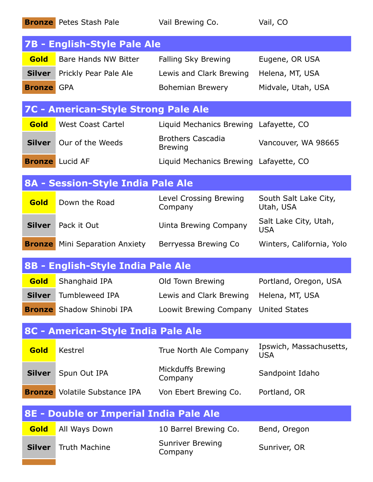| 7B - English-Style Pale Ale<br><b>Gold</b><br>Bare Hands NW Bitter<br>Falling Sky Brewing<br>Eugene, OR USA<br><b>Silver</b><br>Prickly Pear Pale Ale<br>Lewis and Clark Brewing<br>Helena, MT, USA<br><b>Bronze</b> GPA<br>Midvale, Utah, USA<br>Bohemian Brewery<br><b>7C - American-Style Strong Pale Ale</b><br>Gold<br><b>West Coast Cartel</b><br>Liquid Mechanics Brewing Lafayette, CO<br><b>Brothers Cascadia</b><br>Our of the Weeds<br><b>Silver</b><br>Vancouver, WA 98665<br><b>Brewing</b><br><b>Bronze</b> Lucid AF<br>Liquid Mechanics Brewing Lafayette, CO<br>8A - Session-Style India Pale Ale<br>Level Crossing Brewing<br>South Salt Lake City,<br>Gold<br>Down the Road<br>Utah, USA<br>Company<br>Salt Lake City, Utah,<br><b>Silver</b> Pack it Out<br>Uinta Brewing Company<br><b>USA</b><br><b>Bronze</b> Mini Separation Anxiety<br>Berryessa Brewing Co<br>Winters, California, Yolo<br>8B - English-Style India Pale Ale |               | <b>Bronze</b> Petes Stash Pale | Vail Brewing Co.                    | Vail, CO                              |
|-------------------------------------------------------------------------------------------------------------------------------------------------------------------------------------------------------------------------------------------------------------------------------------------------------------------------------------------------------------------------------------------------------------------------------------------------------------------------------------------------------------------------------------------------------------------------------------------------------------------------------------------------------------------------------------------------------------------------------------------------------------------------------------------------------------------------------------------------------------------------------------------------------------------------------------------------------|---------------|--------------------------------|-------------------------------------|---------------------------------------|
|                                                                                                                                                                                                                                                                                                                                                                                                                                                                                                                                                                                                                                                                                                                                                                                                                                                                                                                                                       |               |                                |                                     |                                       |
|                                                                                                                                                                                                                                                                                                                                                                                                                                                                                                                                                                                                                                                                                                                                                                                                                                                                                                                                                       |               |                                |                                     |                                       |
|                                                                                                                                                                                                                                                                                                                                                                                                                                                                                                                                                                                                                                                                                                                                                                                                                                                                                                                                                       |               |                                |                                     |                                       |
|                                                                                                                                                                                                                                                                                                                                                                                                                                                                                                                                                                                                                                                                                                                                                                                                                                                                                                                                                       |               |                                |                                     |                                       |
|                                                                                                                                                                                                                                                                                                                                                                                                                                                                                                                                                                                                                                                                                                                                                                                                                                                                                                                                                       |               |                                |                                     |                                       |
|                                                                                                                                                                                                                                                                                                                                                                                                                                                                                                                                                                                                                                                                                                                                                                                                                                                                                                                                                       |               |                                |                                     |                                       |
|                                                                                                                                                                                                                                                                                                                                                                                                                                                                                                                                                                                                                                                                                                                                                                                                                                                                                                                                                       |               |                                |                                     |                                       |
|                                                                                                                                                                                                                                                                                                                                                                                                                                                                                                                                                                                                                                                                                                                                                                                                                                                                                                                                                       |               |                                |                                     |                                       |
|                                                                                                                                                                                                                                                                                                                                                                                                                                                                                                                                                                                                                                                                                                                                                                                                                                                                                                                                                       |               |                                |                                     |                                       |
|                                                                                                                                                                                                                                                                                                                                                                                                                                                                                                                                                                                                                                                                                                                                                                                                                                                                                                                                                       |               |                                |                                     |                                       |
|                                                                                                                                                                                                                                                                                                                                                                                                                                                                                                                                                                                                                                                                                                                                                                                                                                                                                                                                                       |               |                                |                                     |                                       |
|                                                                                                                                                                                                                                                                                                                                                                                                                                                                                                                                                                                                                                                                                                                                                                                                                                                                                                                                                       |               |                                |                                     |                                       |
|                                                                                                                                                                                                                                                                                                                                                                                                                                                                                                                                                                                                                                                                                                                                                                                                                                                                                                                                                       |               |                                |                                     |                                       |
|                                                                                                                                                                                                                                                                                                                                                                                                                                                                                                                                                                                                                                                                                                                                                                                                                                                                                                                                                       | Gold          | Shanghaid IPA                  | Old Town Brewing                    | Portland, Oregon, USA                 |
| <b>Tumbleweed IPA</b><br><b>Silver</b><br>Lewis and Clark Brewing<br>Helena, MT, USA                                                                                                                                                                                                                                                                                                                                                                                                                                                                                                                                                                                                                                                                                                                                                                                                                                                                  |               |                                |                                     |                                       |
| Shadow Shinobi IPA<br>Loowit Brewing Company<br><b>United States</b><br><b>Bronze</b>                                                                                                                                                                                                                                                                                                                                                                                                                                                                                                                                                                                                                                                                                                                                                                                                                                                                 |               |                                |                                     |                                       |
|                                                                                                                                                                                                                                                                                                                                                                                                                                                                                                                                                                                                                                                                                                                                                                                                                                                                                                                                                       |               |                                |                                     |                                       |
| 8C - American-Style India Pale Ale                                                                                                                                                                                                                                                                                                                                                                                                                                                                                                                                                                                                                                                                                                                                                                                                                                                                                                                    | Gold          | Kestrel                        | True North Ale Company              | Ipswich, Massachusetts,<br><b>USA</b> |
|                                                                                                                                                                                                                                                                                                                                                                                                                                                                                                                                                                                                                                                                                                                                                                                                                                                                                                                                                       | <b>Silver</b> | Spun Out IPA                   | <b>Mickduffs Brewing</b><br>Company | Sandpoint Idaho                       |
|                                                                                                                                                                                                                                                                                                                                                                                                                                                                                                                                                                                                                                                                                                                                                                                                                                                                                                                                                       |               |                                | Von Ebert Brewing Co.               | Portland, OR                          |
| <b>Bronze</b> Volatile Substance IPA                                                                                                                                                                                                                                                                                                                                                                                                                                                                                                                                                                                                                                                                                                                                                                                                                                                                                                                  |               |                                |                                     |                                       |
| 8E - Double or Imperial India Pale Ale                                                                                                                                                                                                                                                                                                                                                                                                                                                                                                                                                                                                                                                                                                                                                                                                                                                                                                                | Gold          | All Ways Down                  | 10 Barrel Brewing Co.               | Bend, Oregon                          |
|                                                                                                                                                                                                                                                                                                                                                                                                                                                                                                                                                                                                                                                                                                                                                                                                                                                                                                                                                       | <b>Silver</b> | <b>Truth Machine</b>           | <b>Sunriver Brewing</b><br>Company  | Sunriver, OR                          |
|                                                                                                                                                                                                                                                                                                                                                                                                                                                                                                                                                                                                                                                                                                                                                                                                                                                                                                                                                       |               |                                |                                     |                                       |
|                                                                                                                                                                                                                                                                                                                                                                                                                                                                                                                                                                                                                                                                                                                                                                                                                                                                                                                                                       |               |                                |                                     |                                       |
|                                                                                                                                                                                                                                                                                                                                                                                                                                                                                                                                                                                                                                                                                                                                                                                                                                                                                                                                                       |               |                                |                                     |                                       |
|                                                                                                                                                                                                                                                                                                                                                                                                                                                                                                                                                                                                                                                                                                                                                                                                                                                                                                                                                       |               |                                |                                     |                                       |
|                                                                                                                                                                                                                                                                                                                                                                                                                                                                                                                                                                                                                                                                                                                                                                                                                                                                                                                                                       |               |                                |                                     |                                       |
|                                                                                                                                                                                                                                                                                                                                                                                                                                                                                                                                                                                                                                                                                                                                                                                                                                                                                                                                                       |               |                                |                                     |                                       |
|                                                                                                                                                                                                                                                                                                                                                                                                                                                                                                                                                                                                                                                                                                                                                                                                                                                                                                                                                       |               |                                |                                     |                                       |
|                                                                                                                                                                                                                                                                                                                                                                                                                                                                                                                                                                                                                                                                                                                                                                                                                                                                                                                                                       |               |                                |                                     |                                       |
|                                                                                                                                                                                                                                                                                                                                                                                                                                                                                                                                                                                                                                                                                                                                                                                                                                                                                                                                                       |               |                                |                                     |                                       |
|                                                                                                                                                                                                                                                                                                                                                                                                                                                                                                                                                                                                                                                                                                                                                                                                                                                                                                                                                       |               |                                |                                     |                                       |
|                                                                                                                                                                                                                                                                                                                                                                                                                                                                                                                                                                                                                                                                                                                                                                                                                                                                                                                                                       |               |                                |                                     |                                       |
|                                                                                                                                                                                                                                                                                                                                                                                                                                                                                                                                                                                                                                                                                                                                                                                                                                                                                                                                                       |               |                                |                                     |                                       |
|                                                                                                                                                                                                                                                                                                                                                                                                                                                                                                                                                                                                                                                                                                                                                                                                                                                                                                                                                       |               |                                |                                     |                                       |
|                                                                                                                                                                                                                                                                                                                                                                                                                                                                                                                                                                                                                                                                                                                                                                                                                                                                                                                                                       |               |                                |                                     |                                       |
|                                                                                                                                                                                                                                                                                                                                                                                                                                                                                                                                                                                                                                                                                                                                                                                                                                                                                                                                                       |               |                                |                                     |                                       |
|                                                                                                                                                                                                                                                                                                                                                                                                                                                                                                                                                                                                                                                                                                                                                                                                                                                                                                                                                       |               |                                |                                     |                                       |
|                                                                                                                                                                                                                                                                                                                                                                                                                                                                                                                                                                                                                                                                                                                                                                                                                                                                                                                                                       |               |                                |                                     |                                       |
|                                                                                                                                                                                                                                                                                                                                                                                                                                                                                                                                                                                                                                                                                                                                                                                                                                                                                                                                                       |               |                                |                                     |                                       |
|                                                                                                                                                                                                                                                                                                                                                                                                                                                                                                                                                                                                                                                                                                                                                                                                                                                                                                                                                       |               |                                |                                     |                                       |
|                                                                                                                                                                                                                                                                                                                                                                                                                                                                                                                                                                                                                                                                                                                                                                                                                                                                                                                                                       |               |                                |                                     |                                       |
|                                                                                                                                                                                                                                                                                                                                                                                                                                                                                                                                                                                                                                                                                                                                                                                                                                                                                                                                                       |               |                                |                                     |                                       |
|                                                                                                                                                                                                                                                                                                                                                                                                                                                                                                                                                                                                                                                                                                                                                                                                                                                                                                                                                       |               |                                |                                     |                                       |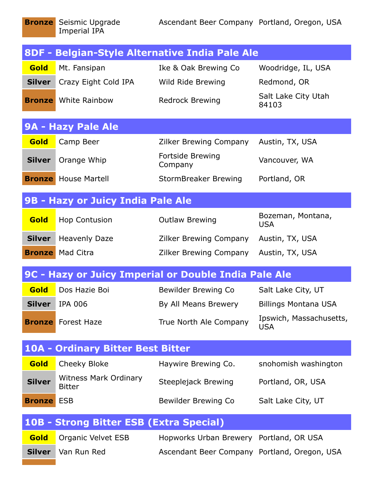|               |                                               | 8DF - Belgian-Style Alternative India Pale Ale       |                                       |
|---------------|-----------------------------------------------|------------------------------------------------------|---------------------------------------|
| Gold          | Mt. Fansipan                                  | Ike & Oak Brewing Co                                 | Woodridge, IL, USA                    |
| <b>Silver</b> | Crazy Eight Cold IPA                          | Wild Ride Brewing                                    | Redmond, OR                           |
|               | <b>Bronze</b> White Rainbow                   | <b>Redrock Brewing</b>                               | Salt Lake City Utah<br>84103          |
|               | 9A - Hazy Pale Ale                            |                                                      |                                       |
| Gold          | Camp Beer                                     | <b>Zilker Brewing Company</b>                        | Austin, TX, USA                       |
| <b>Silver</b> | Orange Whip                                   | Fortside Brewing<br>Company                          | Vancouver, WA                         |
|               | <b>Bronze</b> House Martell                   | StormBreaker Brewing                                 | Portland, OR                          |
|               | 9B - Hazy or Juicy India Pale Ale             |                                                      |                                       |
| Gold          | <b>Hop Contusion</b>                          | <b>Outlaw Brewing</b>                                | Bozeman, Montana,<br><b>USA</b>       |
| <b>Silver</b> | <b>Heavenly Daze</b>                          | <b>Zilker Brewing Company</b>                        | Austin, TX, USA                       |
|               | <b>Bronze</b> Mad Citra                       | <b>Zilker Brewing Company</b>                        | Austin, TX, USA                       |
|               |                                               | 9C - Hazy or Juicy Imperial or Double India Pale Ale |                                       |
| Gold          | Dos Hazie Boi                                 | Bewilder Brewing Co                                  | Salt Lake City, UT                    |
| <b>Silver</b> | <b>IPA 006</b>                                | By All Means Brewery                                 | <b>Billings Montana USA</b>           |
|               | <b>Bronze</b> Forest Haze                     | True North Ale Company                               | Ipswich, Massachusetts,<br><b>USA</b> |
|               | <b>10A - Ordinary Bitter Best Bitter</b>      |                                                      |                                       |
| Gold          | Cheeky Bloke                                  | Haywire Brewing Co.                                  | snohomish washington                  |
| <b>Silver</b> | <b>Witness Mark Ordinary</b><br><b>Bitter</b> | Steeplejack Brewing                                  | Portland, OR, USA                     |
| <b>Bronze</b> | <b>ESB</b>                                    | Bewilder Brewing Co                                  | Salt Lake City, UT                    |
|               | 10B - Strong Bitter ESB (Extra Special)       |                                                      |                                       |
| Gold          | Organic Velvet ESB                            | Hopworks Urban Brewery Portland, OR USA              |                                       |
| <b>Silver</b> | Van Run Red                                   | Ascendant Beer Company Portland, Oregon, USA         |                                       |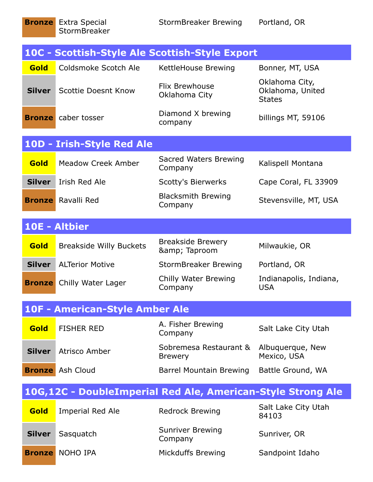|               |                                | 10C - Scottish-Style Ale Scottish-Style Export |                                                     |
|---------------|--------------------------------|------------------------------------------------|-----------------------------------------------------|
| Gold          | Coldsmoke Scotch Ale           | KettleHouse Brewing                            | Bonner, MT, USA                                     |
| <b>Silver</b> | <b>Scottie Doesnt Know</b>     | <b>Flix Brewhouse</b><br>Oklahoma City         | Oklahoma City,<br>Oklahoma, United<br><b>States</b> |
| <b>Bronze</b> | caber tosser                   | Diamond X brewing<br>company                   | billings MT, 59106                                  |
|               | 10D - Irish-Style Red Ale      |                                                |                                                     |
| Gold          | Meadow Creek Amber             | Sacred Waters Brewing<br>Company               | Kalispell Montana                                   |
| <b>Silver</b> | Irish Red Ale                  | <b>Scotty's Bierwerks</b>                      | Cape Coral, FL 33909                                |
| <b>Bronze</b> | Ravalli Red                    | <b>Blacksmith Brewing</b><br>Company           | Stevensville, MT, USA                               |
|               | 10E - Altbier                  |                                                |                                                     |
| Gold          | <b>Breakside Willy Buckets</b> | <b>Breakside Brewery</b><br>& Taproom          | Milwaukie, OR                                       |
| <b>Silver</b> |                                |                                                |                                                     |
|               | <b>ALTerior Motive</b>         | <b>StormBreaker Brewing</b>                    | Portland, OR                                        |
| <b>Bronze</b> | Chilly Water Lager             | Chilly Water Brewing<br>Company                | Indianapolis, Indiana,<br><b>USA</b>                |
|               | 10F - American-Style Amber Ale |                                                |                                                     |
| Gold          | <b>FISHER RED</b>              | A. Fisher Brewing<br>Company                   | Salt Lake City Utah                                 |
| <b>Silver</b> | Atrisco Amber                  | Sobremesa Restaurant &<br><b>Brewery</b>       | Albuquerque, New<br>Mexico, USA                     |
| <b>Bronze</b> | Ash Cloud                      | <b>Barrel Mountain Brewing</b>                 | Battle Ground, WA                                   |

| Gold          | Imperial Red Ale       | <b>Redrock Brewing</b>             | Salt Lake City Utah<br>84103 |
|---------------|------------------------|------------------------------------|------------------------------|
| <b>Silver</b> | Sasquatch              | <b>Sunriver Brewing</b><br>Company | Sunriver, OR                 |
|               | <b>Bronze</b> NOHO IPA | <b>Mickduffs Brewing</b>           | Sandpoint Idaho              |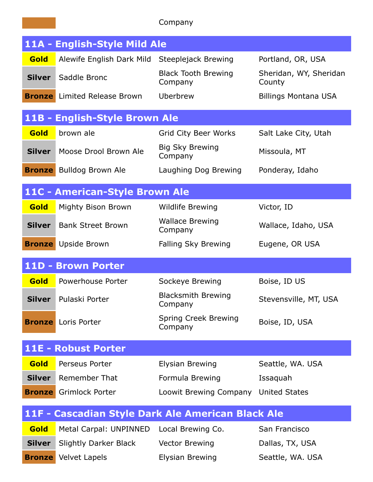|               |                                     | Company                                           |                                  |
|---------------|-------------------------------------|---------------------------------------------------|----------------------------------|
|               | 11A - English-Style Mild Ale        |                                                   |                                  |
| Gold          | Alewife English Dark Mild           | Steeplejack Brewing                               | Portland, OR, USA                |
| <b>Silver</b> | Saddle Bronc                        | <b>Black Tooth Brewing</b><br>Company             | Sheridan, WY, Sheridan<br>County |
|               | <b>Bronze</b> Limited Release Brown | Uberbrew                                          | <b>Billings Montana USA</b>      |
|               | 11B - English-Style Brown Ale       |                                                   |                                  |
| Gold          | brown ale                           | <b>Grid City Beer Works</b>                       | Salt Lake City, Utah             |
| <b>Silver</b> | Moose Drool Brown Ale               | Big Sky Brewing<br>Company                        | Missoula, MT                     |
| <b>Bronze</b> | <b>Bulldog Brown Ale</b>            | Laughing Dog Brewing                              | Ponderay, Idaho                  |
|               | 11C - American-Style Brown Ale      |                                                   |                                  |
| Gold          | Mighty Bison Brown                  | <b>Wildlife Brewing</b>                           | Victor, ID                       |
| <b>Silver</b> | <b>Bank Street Brown</b>            | <b>Wallace Brewing</b><br>Company                 | Wallace, Idaho, USA              |
| <b>Bronze</b> | Upside Brown                        | Falling Sky Brewing                               | Eugene, OR USA                   |
|               | 11D - Brown Porter                  |                                                   |                                  |
| Gold          | Powerhouse Porter                   | Sockeye Brewing                                   | Boise, ID US                     |
| <b>Silver</b> | Pulaski Porter                      | <b>Blacksmith Brewing</b><br>Company              | Stevensville, MT, USA            |
| <b>Bronze</b> | Loris Porter                        | Spring Creek Brewing<br>Company                   | Boise, ID, USA                   |
|               | 11E - Robust Porter                 |                                                   |                                  |
| Gold          | Perseus Porter                      | Elysian Brewing                                   | Seattle, WA. USA                 |
| <b>Silver</b> | <b>Remember That</b>                | Formula Brewing                                   | Issaquah                         |
| <b>Bronze</b> | <b>Grimlock Porter</b>              | Loowit Brewing Company                            | <b>United States</b>             |
|               |                                     | 11F - Cascadian Style Dark Ale American Black Ale |                                  |
| Gold          | Metal Carpal: UNPINNED              | Local Brewing Co.                                 | San Francisco                    |
| <b>Silver</b> | <b>Slightly Darker Black</b>        | <b>Vector Brewing</b>                             | Dallas, TX, USA                  |
|               | <b>Bronze</b> Velvet Lapels         | Elysian Brewing                                   | Seattle, WA. USA                 |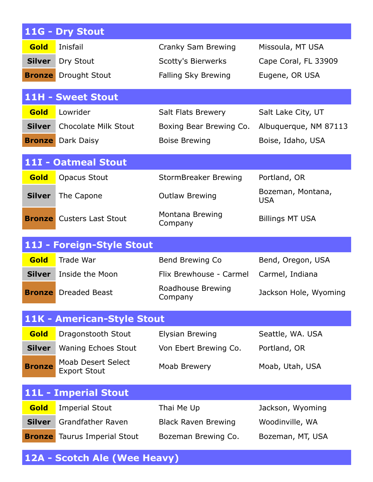|               | 11G - Dry Stout                                  |                              |                                 |
|---------------|--------------------------------------------------|------------------------------|---------------------------------|
| Gold          | Inisfail                                         | Cranky Sam Brewing           | Missoula, MT USA                |
| <b>Silver</b> | Dry Stout                                        | <b>Scotty's Bierwerks</b>    | Cape Coral, FL 33909            |
| <b>Bronze</b> | <b>Drought Stout</b>                             | Falling Sky Brewing          | Eugene, OR USA                  |
|               | <b>11H - Sweet Stout</b>                         |                              |                                 |
| Gold          | Lowrider                                         | <b>Salt Flats Brewery</b>    | Salt Lake City, UT              |
| <b>Silver</b> | <b>Chocolate Milk Stout</b>                      | Boxing Bear Brewing Co.      | Albuquerque, NM 87113           |
|               | <b>Bronze</b> Dark Daisy                         | <b>Boise Brewing</b>         | Boise, Idaho, USA               |
|               | 11I - Oatmeal Stout                              |                              |                                 |
| Gold          | <b>Opacus Stout</b>                              | <b>StormBreaker Brewing</b>  | Portland, OR                    |
| <b>Silver</b> | The Capone                                       | <b>Outlaw Brewing</b>        | Bozeman, Montana,<br><b>USA</b> |
| <b>Bronze</b> | <b>Custers Last Stout</b>                        | Montana Brewing<br>Company   | <b>Billings MT USA</b>          |
|               | 11J - Foreign-Style Stout                        |                              |                                 |
| Gold          | Trade War                                        | Bend Brewing Co              | Bend, Oregon, USA               |
|               |                                                  |                              |                                 |
| <b>Silver</b> | Inside the Moon                                  | Flix Brewhouse - Carmel      | Carmel, Indiana                 |
|               | <b>Bronze</b> Dreaded Beast                      | Roadhouse Brewing<br>Company | Jackson Hole, Wyoming           |
|               | <b>11K - American-Style Stout</b>                |                              |                                 |
| Gold          | Dragonstooth Stout                               | <b>Elysian Brewing</b>       | Seattle, WA. USA                |
| <b>Silver</b> | <b>Waning Echoes Stout</b>                       | Von Ebert Brewing Co.        | Portland, OR                    |
| <b>Bronze</b> | <b>Moab Desert Select</b><br><b>Export Stout</b> | Moab Brewery                 | Moab, Utah, USA                 |
|               | <b>11L - Imperial Stout</b>                      |                              |                                 |
| Gold          | <b>Imperial Stout</b>                            | Thai Me Up                   | Jackson, Wyoming                |
| <b>Silver</b> | <b>Grandfather Raven</b>                         | <b>Black Raven Brewing</b>   | Woodinville, WA                 |

**12A - Scotch Ale (Wee Heavy)**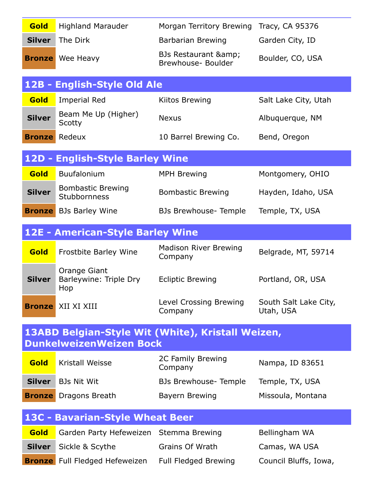| Gold          | <b>Highland Marauder</b>                                                            | Morgan Territory Brewing                | Tracy, CA 95376                    |
|---------------|-------------------------------------------------------------------------------------|-----------------------------------------|------------------------------------|
| <b>Silver</b> | The Dirk                                                                            | Barbarian Brewing                       | Garden City, ID                    |
| <b>Bronze</b> | Wee Heavy                                                                           | BJs Restaurant &<br>Brewhouse- Boulder  | Boulder, CO, USA                   |
| $12B -$       | <b>English-Style Old Ale</b>                                                        |                                         |                                    |
| Gold          | <b>Imperial Red</b>                                                                 | Kiitos Brewing                          | Salt Lake City, Utah               |
| <b>Silver</b> | Beam Me Up (Higher)<br>Scotty                                                       | <b>Nexus</b>                            | Albuquerque, NM                    |
| <b>Bronze</b> | Redeux                                                                              | 10 Barrel Brewing Co.                   | Bend, Oregon                       |
|               | 12D - English-Style Barley Wine                                                     |                                         |                                    |
| Gold          | Buufalonium                                                                         | <b>MPH Brewing</b>                      | Montgomery, OHIO                   |
| <b>Silver</b> | <b>Bombastic Brewing</b><br>Stubbornness                                            | <b>Bombastic Brewing</b>                | Hayden, Idaho, USA                 |
| <b>Bronze</b> | <b>BJs Barley Wine</b>                                                              | <b>BJs Brewhouse- Temple</b>            | Temple, TX, USA                    |
|               | 12E - American-Style Barley Wine                                                    |                                         |                                    |
| Gold          | <b>Frostbite Barley Wine</b>                                                        | <b>Madison River Brewing</b><br>Company | Belgrade, MT, 59714                |
| <b>Silver</b> | Orange Giant<br>Barleywine: Triple Dry<br>Hop                                       | <b>Ecliptic Brewing</b>                 | Portland, OR, USA                  |
|               | <b>Bronze</b> XII XI XIII                                                           | Level Crossing Brewing<br>Company       | South Salt Lake City,<br>Utah, USA |
|               | 13ABD Belgian-Style Wit (White), Kristall Weizen,<br><b>DunkelweizenWeizen Bock</b> |                                         |                                    |
| Gold          | Kristall Weisse                                                                     | 2C Family Brewing<br>Company            | Nampa, ID 83651                    |
| <b>Silver</b> | <b>BJs Nit Wit</b>                                                                  | <b>BJs Brewhouse- Temple</b>            | Temple, TX, USA                    |
| <b>Bronze</b> | Dragons Breath                                                                      | Bayern Brewing                          | Missoula, Montana                  |
|               | 13C - Bavarian-Style Wheat Beer                                                     |                                         |                                    |
| Gold          | Garden Party Hefeweizen Stemma Brewing                                              |                                         | Bellingham WA                      |
| <b>Silver</b> | Sickle & Scythe                                                                     | <b>Grains Of Wrath</b>                  | Camas, WA USA                      |
|               | <b>Bronze</b> Full Fledged Hefeweizen                                               | <b>Full Fledged Brewing</b>             | Council Bluffs, Iowa,              |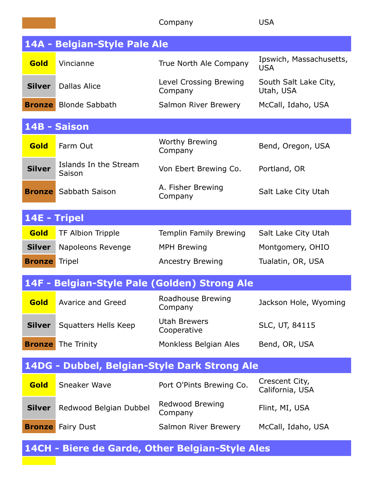|               |                                              | Company                                         | <b>USA</b>                            |
|---------------|----------------------------------------------|-------------------------------------------------|---------------------------------------|
|               | 14A - Belgian-Style Pale Ale                 |                                                 |                                       |
| Gold          | Vincianne                                    | True North Ale Company                          | Ipswich, Massachusetts,<br><b>USA</b> |
| <b>Silver</b> | Dallas Alice                                 | Level Crossing Brewing<br>Company               | South Salt Lake City,<br>Utah, USA    |
|               | <b>Bronze</b> Blonde Sabbath                 | Salmon River Brewery                            | McCall, Idaho, USA                    |
|               | 14B - Saison                                 |                                                 |                                       |
| Gold          | Farm Out                                     | <b>Worthy Brewing</b><br>Company                | Bend, Oregon, USA                     |
| <b>Silver</b> | Islands In the Stream<br>Saison              | Von Ebert Brewing Co.                           | Portland, OR                          |
| <b>Bronze</b> | Sabbath Saison                               | A. Fisher Brewing<br>Company                    | Salt Lake City Utah                   |
| 14E - Tripel  |                                              |                                                 |                                       |
| <b>Gold</b>   | TF Albion Tripple                            | Templin Family Brewing                          | Salt Lake City Utah                   |
| <b>Silver</b> | Napoleons Revenge                            | <b>MPH Brewing</b>                              | Montgomery, OHIO                      |
| <b>Bronze</b> | <b>Tripel</b>                                | <b>Ancestry Brewing</b>                         | Tualatin, OR, USA                     |
|               | 14F - Belgian-Style Pale (Golden) Strong Ale |                                                 |                                       |
| Gold          | <b>Avarice and Greed</b>                     | Roadhouse Brewing<br>Company                    | Jackson Hole, Wyoming                 |
| <b>Silver</b> | <b>Squatters Hells Keep</b>                  | <b>Utah Brewers</b><br>Cooperative              | SLC, UT, 84115                        |
| <b>Bronze</b> | The Trinity                                  | Monkless Belgian Ales                           | Bend, OR, USA                         |
|               |                                              | 14DG - Dubbel, Belgian-Style Dark Strong Ale    |                                       |
| Gold          | <b>Sneaker Wave</b>                          | Port O'Pints Brewing Co.                        | Crescent City,<br>California, USA     |
| <b>Silver</b> | Redwood Belgian Dubbel                       | Redwood Brewing<br>Company                      | Flint, MI, USA                        |
|               | <b>Bronze</b> Fairy Dust                     | Salmon River Brewery                            | McCall, Idaho, USA                    |
|               |                                              | 14CH - Biere de Garde, Other Belgian-Style Ales |                                       |

 $\mathcal{L}(\mathcal{C})$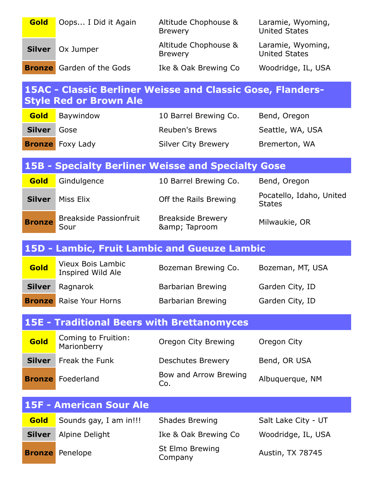| <b>Gold</b>   | Oops I Did it Again                               | Altitude Chophouse &<br><b>Brewery</b>                            | Laramie, Wyoming,<br><b>United States</b> |
|---------------|---------------------------------------------------|-------------------------------------------------------------------|-------------------------------------------|
| <b>Silver</b> | Ox Jumper                                         | Altitude Chophouse &<br><b>Brewery</b>                            | Laramie, Wyoming,<br><b>United States</b> |
|               | <b>Bronze</b> Garden of the Gods                  | Ike & Oak Brewing Co                                              | Woodridge, IL, USA                        |
|               | <b>Style Red or Brown Ale</b>                     | <b>15AC - Classic Berliner Weisse and Classic Gose, Flanders-</b> |                                           |
| Gold          | Baywindow                                         | 10 Barrel Brewing Co.                                             | Bend, Oregon                              |
| <b>Silver</b> | Gose                                              | <b>Reuben's Brews</b>                                             | Seattle, WA, USA                          |
|               | <b>Bronze</b> Foxy Lady                           | <b>Silver City Brewery</b>                                        | Bremerton, WA                             |
|               |                                                   | <b>15B - Specialty Berliner Weisse and Specialty Gose</b>         |                                           |
| <b>Gold</b>   | Gindulgence                                       | 10 Barrel Brewing Co.                                             | Bend, Oregon                              |
| <b>Silver</b> | Miss Elix                                         | Off the Rails Brewing                                             | Pocatello, Idaho, United<br><b>States</b> |
| <b>Bronze</b> | <b>Breakside Passionfruit</b><br>Sour             | <b>Breakside Brewery</b><br>& Taproom                             | Milwaukie, OR                             |
|               |                                                   |                                                                   |                                           |
|               |                                                   | 15D - Lambic, Fruit Lambic and Gueuze Lambic                      |                                           |
| Gold          | <b>Vieux Bois Lambic</b><br>Inspired Wild Ale     | Bozeman Brewing Co.                                               | Bozeman, MT, USA                          |
| <b>Silver</b> | Ragnarok                                          | Barbarian Brewing                                                 | Garden City, ID                           |
|               | <b>Bronze</b> Raise Your Horns                    | <b>Barbarian Brewing</b>                                          | Garden City, ID                           |
|               | <b>15E - Traditional Beers with Brettanomyces</b> |                                                                   |                                           |
| Gold          | Coming to Fruition:<br>Marionberry                | Oregon City Brewing                                               | Oregon City                               |
| <b>Silver</b> | Freak the Funk                                    | <b>Deschutes Brewery</b>                                          | Bend, OR USA                              |
|               | <b>Bronze</b> Foederland                          | Bow and Arrow Brewing<br>Co.                                      | Albuquerque, NM                           |
|               | <b>15F - American Sour Ale</b>                    |                                                                   |                                           |
| Gold          | Sounds gay, I am in!!!                            | <b>Shades Brewing</b>                                             | Salt Lake City - UT                       |
| <b>Silver</b> | Alpine Delight                                    | Ike & Oak Brewing Co                                              | Woodridge, IL, USA                        |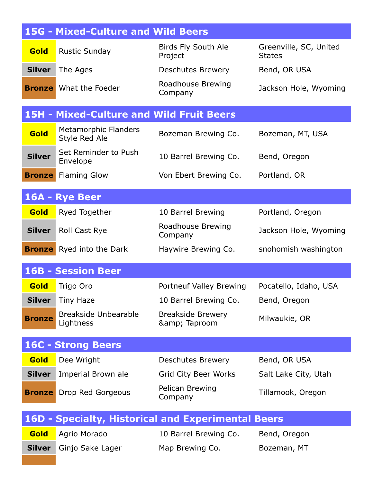|               | <b>15G - Mixed-Culture and Wild Beers</b>       |                                                    |                                         |
|---------------|-------------------------------------------------|----------------------------------------------------|-----------------------------------------|
| <b>Gold</b>   | <b>Rustic Sunday</b>                            | Birds Fly South Ale<br>Project                     | Greenville, SC, United<br><b>States</b> |
| <b>Silver</b> | The Ages                                        | Deschutes Brewery                                  | Bend, OR USA                            |
|               | <b>Bronze</b> What the Foeder                   | Roadhouse Brewing<br>Company                       | Jackson Hole, Wyoming                   |
|               | <b>15H - Mixed-Culture and Wild Fruit Beers</b> |                                                    |                                         |
| Gold          | <b>Metamorphic Flanders</b><br>Style Red Ale    | Bozeman Brewing Co.                                | Bozeman, MT, USA                        |
| <b>Silver</b> | Set Reminder to Push<br>Envelope                | 10 Barrel Brewing Co.                              | Bend, Oregon                            |
| <b>Bronze</b> | <b>Flaming Glow</b>                             | Von Ebert Brewing Co.                              | Portland, OR                            |
|               | 16A - Rye Beer                                  |                                                    |                                         |
| Gold          | Ryed Together                                   | 10 Barrel Brewing                                  | Portland, Oregon                        |
| <b>Silver</b> | <b>Roll Cast Rye</b>                            | Roadhouse Brewing<br>Company                       | Jackson Hole, Wyoming                   |
| <b>Bronze</b> | Ryed into the Dark                              | Haywire Brewing Co.                                | snohomish washington                    |
|               | <b>16B - Session Beer</b>                       |                                                    |                                         |
| Gold          | Trigo Oro                                       | Portneuf Valley Brewing                            | Pocatello, Idaho, USA                   |
| <b>Silver</b> | Tiny Haze                                       | 10 Barrel Brewing Co.                              | Bend, Oregon                            |
| <b>Bronze</b> | <b>Breakside Unbearable</b><br>Lightness        | <b>Breakside Brewery</b><br>& Taproom              | Milwaukie, OR                           |
|               | <b>16C - Strong Beers</b>                       |                                                    |                                         |
| Gold          | Dee Wright                                      | <b>Deschutes Brewery</b>                           | Bend, OR USA                            |
| <b>Silver</b> | Imperial Brown ale                              | <b>Grid City Beer Works</b>                        | Salt Lake City, Utah                    |
| <b>Bronze</b> | Drop Red Gorgeous                               | Pelican Brewing<br>Company                         | Tillamook, Oregon                       |
|               |                                                 | 16D - Specialty, Historical and Experimental Beers |                                         |
| Gold          | Agrio Morado                                    | 10 Barrel Brewing Co.                              | Bend, Oregon                            |
| <b>Silver</b> | Ginjo Sake Lager                                | Map Brewing Co.                                    | Bozeman, MT                             |
|               |                                                 |                                                    |                                         |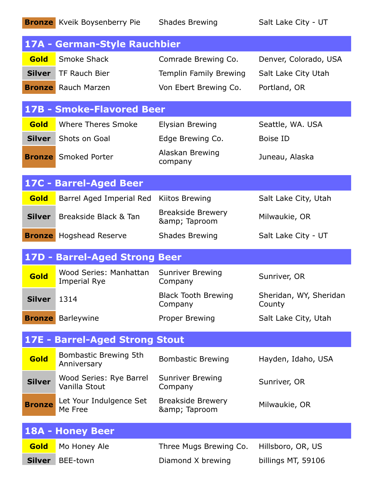|               | <b>Bronze</b> Kveik Boysenberry Pie      | <b>Shades Brewing</b>                 | Salt Lake City - UT              |
|---------------|------------------------------------------|---------------------------------------|----------------------------------|
|               | 17A - German-Style Rauchbier             |                                       |                                  |
| <b>Gold</b>   | Smoke Shack                              | Comrade Brewing Co.                   | Denver, Colorado, USA            |
| <b>Silver</b> | TF Rauch Bier                            | Templin Family Brewing                | Salt Lake City Utah              |
|               | <b>Bronze</b> Rauch Marzen               | Von Ebert Brewing Co.                 | Portland, OR                     |
|               | <b>17B - Smoke-Flavored Beer</b>         |                                       |                                  |
| <b>Gold</b>   | <b>Where Theres Smoke</b>                | <b>Elysian Brewing</b>                | Seattle, WA. USA                 |
|               | <b>Silver</b> Shots on Goal              | Edge Brewing Co.                      | <b>Boise ID</b>                  |
|               | <b>Bronze</b> Smoked Porter              | Alaskan Brewing<br>company            | Juneau, Alaska                   |
|               | 17C - Barrel-Aged Beer                   |                                       |                                  |
| <b>Gold</b>   | Barrel Aged Imperial Red                 | Kiitos Brewing                        | Salt Lake City, Utah             |
| <b>Silver</b> | Breakside Black & Tan                    | <b>Breakside Brewery</b><br>& Taproom | Milwaukie, OR                    |
| <b>Bronze</b> | <b>Hogshead Reserve</b>                  | <b>Shades Brewing</b>                 | Salt Lake City - UT              |
|               | 17D - Barrel-Aged Strong Beer            |                                       |                                  |
| Gold          | Wood Series: Manhattan<br>Imperial Rye   | <b>Sunriver Brewing</b><br>Company    | Sunriver, OR                     |
| <b>Silver</b> | 1314                                     | <b>Black Tooth Brewing</b><br>Company | Sheridan, WY, Sheridan<br>County |
| <b>Bronze</b> | Barleywine                               | Proper Brewing                        | Salt Lake City, Utah             |
|               | <b>17E - Barrel-Aged Strong Stout</b>    |                                       |                                  |
| Gold          | Bombastic Brewing 5th<br>Anniversary     | <b>Bombastic Brewing</b>              | Hayden, Idaho, USA               |
| <b>Silver</b> | Wood Series: Rye Barrel<br>Vanilla Stout | <b>Sunriver Brewing</b><br>Company    | Sunriver, OR                     |
| <b>Bronze</b> | Let Your Indulgence Set<br>Me Free       | <b>Breakside Brewery</b><br>& Taproom | Milwaukie, OR                    |
|               | 18A - Honey Beer                         |                                       |                                  |
| Gold          | Mo Honey Ale                             | Three Mugs Brewing Co.                | Hillsboro, OR, US                |
| <b>Silver</b> | BEE-town                                 | Diamond X brewing                     | billings MT, 59106               |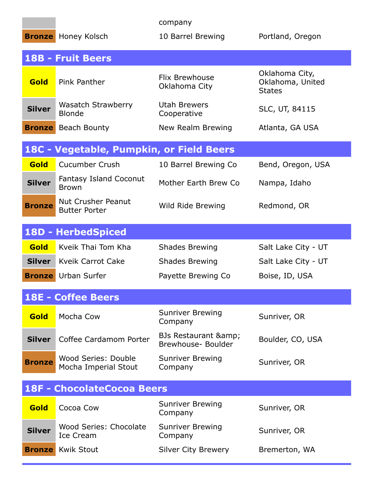|               |                                               | company                                    |                                                     |
|---------------|-----------------------------------------------|--------------------------------------------|-----------------------------------------------------|
|               | <b>Bronze</b> Honey Kolsch                    | 10 Barrel Brewing                          | Portland, Oregon                                    |
|               | <b>18B - Fruit Beers</b>                      |                                            |                                                     |
| Gold          | Pink Panther                                  | Flix Brewhouse<br>Oklahoma City            | Oklahoma City,<br>Oklahoma, United<br><b>States</b> |
| <b>Silver</b> | Wasatch Strawberry<br><b>Blonde</b>           | Utah Brewers<br>Cooperative                | SLC, UT, 84115                                      |
| <b>Bronze</b> | Beach Bounty                                  | New Realm Brewing                          | Atlanta, GA USA                                     |
|               | 18C - Vegetable, Pumpkin, or Field Beers      |                                            |                                                     |
| Gold          | <b>Cucumber Crush</b>                         | 10 Barrel Brewing Co                       | Bend, Oregon, USA                                   |
| <b>Silver</b> | <b>Fantasy Island Coconut</b><br><b>Brown</b> | Mother Earth Brew Co                       | Nampa, Idaho                                        |
| <b>Bronze</b> | Nut Crusher Peanut<br><b>Butter Porter</b>    | Wild Ride Brewing                          | Redmond, OR                                         |
|               | <b>18D - HerbedSpiced</b>                     |                                            |                                                     |
| <b>Gold</b>   | Kyeik Thai Tom Kha                            | <b>Shades Brewing</b>                      | Salt Lake City - UT                                 |
| <b>Silver</b> | Kyeik Carrot Cake                             | <b>Shades Brewing</b>                      | Salt Lake City - UT                                 |
|               | <b>Bronze</b> Urban Surfer                    | Payette Brewing Co                         | Boise, ID, USA                                      |
|               | <b>18E - Coffee Beers</b>                     |                                            |                                                     |
| <b>Gold</b>   | Mocha Cow                                     | <b>Sunriver Brewing</b><br>Company         | Sunriver, OR                                        |
| <b>Silver</b> | Coffee Cardamom Porter                        | BJs Restaurant & amp;<br>Brewhouse-Boulder | Boulder, CO, USA                                    |
| <b>Bronze</b> | Wood Series: Double<br>Mocha Imperial Stout   | <b>Sunriver Brewing</b><br>Company         | Sunriver, OR                                        |
|               | <b>18F - ChocolateCocoa Beers</b>             |                                            |                                                     |
| Gold          | Cocoa Cow                                     | <b>Sunriver Brewing</b><br>Company         | Sunriver, OR                                        |
| <b>Silver</b> | Wood Series: Chocolate<br><b>Ice Cream</b>    | <b>Sunriver Brewing</b><br>Company         | Sunriver, OR                                        |
| <b>Bronze</b> | <b>Kwik Stout</b>                             | <b>Silver City Brewery</b>                 | Bremerton, WA                                       |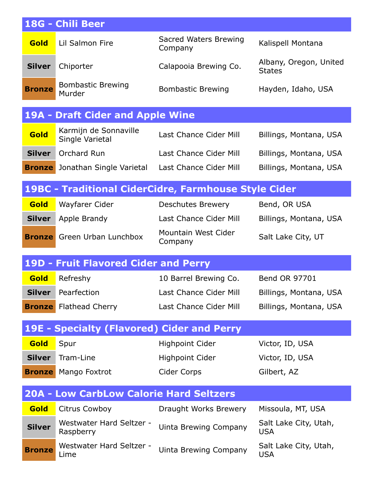|               | 18G - Chili Beer                                  |                                                      |                                         |
|---------------|---------------------------------------------------|------------------------------------------------------|-----------------------------------------|
| <b>Gold</b>   | Lil Salmon Fire                                   | Sacred Waters Brewing<br>Company                     | Kalispell Montana                       |
| <b>Silver</b> | Chiporter                                         | Calapooia Brewing Co.                                | Albany, Oregon, United<br><b>States</b> |
| <b>Bronze</b> | <b>Bombastic Brewing</b><br>Murder                | <b>Bombastic Brewing</b>                             | Hayden, Idaho, USA                      |
|               | <b>19A - Draft Cider and Apple Wine</b>           |                                                      |                                         |
| Gold          | Karmijn de Sonnaville<br>Single Varietal          | Last Chance Cider Mill                               | Billings, Montana, USA                  |
| <b>Silver</b> | Orchard Run                                       | Last Chance Cider Mill                               | Billings, Montana, USA                  |
| <b>Bronze</b> | Jonathan Single Varietal                          | Last Chance Cider Mill                               | Billings, Montana, USA                  |
|               |                                                   | 19BC - Traditional CiderCidre, Farmhouse Style Cider |                                         |
| <b>Gold</b>   | Wayfarer Cider                                    | <b>Deschutes Brewery</b>                             | Bend, OR USA                            |
| <b>Silver</b> | Apple Brandy                                      | Last Chance Cider Mill                               | Billings, Montana, USA                  |
| <b>Bronze</b> | Green Urban Lunchbox                              | Mountain West Cider<br>Company                       | Salt Lake City, UT                      |
|               | <b>19D - Fruit Flavored Cider and Perry</b>       |                                                      |                                         |
| Gold          | Refreshy                                          | 10 Barrel Brewing Co.                                | <b>Bend OR 97701</b>                    |
| <b>Silver</b> | Pearfection                                       | Last Chance Cider Mill                               | Billings, Montana, USA                  |
| <b>Bronze</b> | <b>Flathead Cherry</b>                            | Last Chance Cider Mill                               | Billings, Montana, USA                  |
|               | <b>19E - Specialty (Flavored) Cider and Perry</b> |                                                      |                                         |
| Gold          | Spur                                              | <b>Highpoint Cider</b>                               | Victor, ID, USA                         |
| <b>Silver</b> | Tram-Line                                         | <b>Highpoint Cider</b>                               | Victor, ID, USA                         |
| <b>Bronze</b> | Mango Foxtrot                                     | <b>Cider Corps</b>                                   | Gilbert, AZ                             |
|               | <b>20A - Low CarbLow Calorie Hard Seltzers</b>    |                                                      |                                         |
| Gold          | Citrus Cowboy                                     | Draught Works Brewery                                | Missoula, MT, USA                       |
| <b>Silver</b> | Westwater Hard Seltzer -<br>Raspberry             | Uinta Brewing Company                                | Salt Lake City, Utah,<br><b>USA</b>     |
| <b>Bronze</b> | Westwater Hard Seltzer -<br>Lime                  | <b>Uinta Brewing Company</b>                         | Salt Lake City, Utah,<br><b>USA</b>     |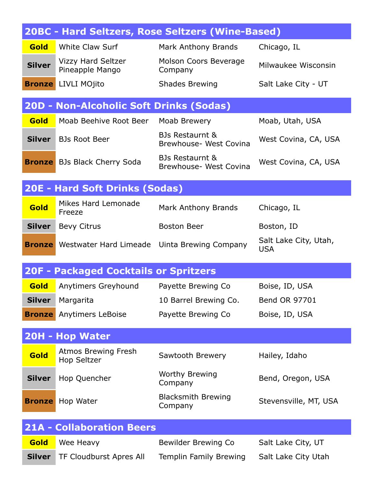| 20BC - Hard Seltzers, Rose Seltzers (Wine-Based) |                                                  |                                                      |                                     |
|--------------------------------------------------|--------------------------------------------------|------------------------------------------------------|-------------------------------------|
| <b>Gold</b>                                      | <b>White Claw Surf</b>                           | Mark Anthony Brands                                  | Chicago, IL                         |
| <b>Silver</b>                                    | <b>Vizzy Hard Seltzer</b><br>Pineapple Mango     | Molson Coors Beverage<br>Company                     | Milwaukee Wisconsin                 |
| <b>Bronze</b>                                    | LIVLI MOjito                                     | <b>Shades Brewing</b>                                | Salt Lake City - UT                 |
|                                                  | <b>20D - Non-Alcoholic Soft Drinks (Sodas)</b>   |                                                      |                                     |
| <b>Gold</b>                                      | Moab Beehive Root Beer                           | Moab Brewery                                         | Moab, Utah, USA                     |
| <b>Silver</b>                                    | <b>BJs Root Beer</b>                             | <b>BJs Restaurnt &amp;</b><br>Brewhouse- West Covina | West Covina, CA, USA                |
|                                                  | <b>Bronze</b> BJs Black Cherry Soda              | BJs Restaurnt &<br>Brewhouse- West Covina            | West Covina, CA, USA                |
|                                                  | <b>20E - Hard Soft Drinks (Sodas)</b>            |                                                      |                                     |
| Gold                                             | Mikes Hard Lemonade<br>Freeze                    | Mark Anthony Brands                                  | Chicago, IL                         |
| <b>Silver</b>                                    | <b>Bevy Citrus</b>                               | <b>Boston Beer</b>                                   | Boston, ID                          |
|                                                  | <b>Bronze</b> Westwater Hard Limeade             | Uinta Brewing Company                                | Salt Lake City, Utah,<br><b>USA</b> |
|                                                  | <b>20F - Packaged Cocktails or Spritzers</b>     |                                                      |                                     |
| <b>Gold</b>                                      | Anytimers Greyhound                              | Payette Brewing Co                                   | Boise, ID, USA                      |
| <b>Silver</b>                                    | Margarita                                        | 10 Barrel Brewing Co.                                | Bend OR 97701                       |
| <b>Bronze</b>                                    | Anytimers LeBoise                                | Payette Brewing Co                                   | Boise, ID, USA                      |
|                                                  | 20H - Hop Water                                  |                                                      |                                     |
| <b>Gold</b>                                      | <b>Atmos Brewing Fresh</b><br><b>Hop Seltzer</b> | Sawtooth Brewery                                     | Hailey, Idaho                       |
| <b>Silver</b>                                    | Hop Quencher                                     | <b>Worthy Brewing</b><br>Company                     | Bend, Oregon, USA                   |
| <b>Bronze</b>                                    | Hop Water                                        | <b>Blacksmith Brewing</b><br>Company                 | Stevensville, MT, USA               |
|                                                  | <b>21A - Collaboration Beers</b>                 |                                                      |                                     |
| Gold                                             | Wee Heavy                                        | Bewilder Brewing Co                                  | Salt Lake City, UT                  |
| <b>Silver</b>                                    | TF Cloudburst Apres All                          | Templin Family Brewing                               | Salt Lake City Utah                 |